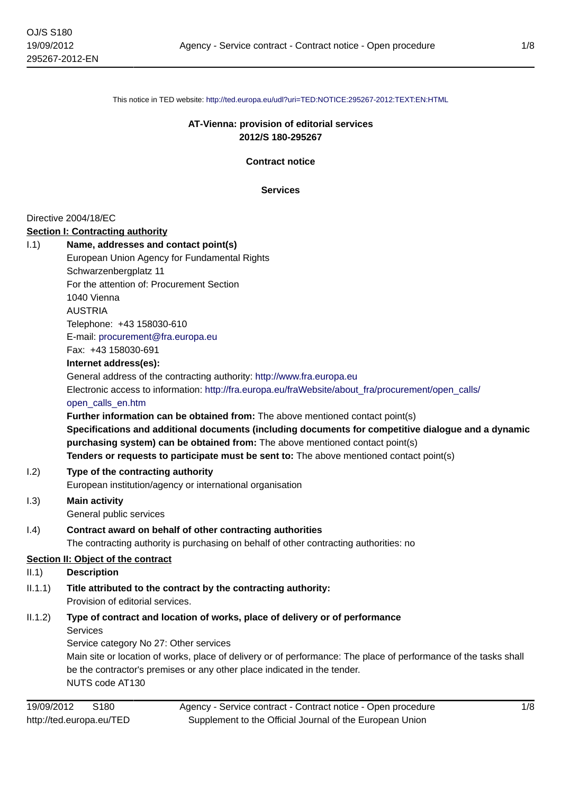This notice in TED website: <http://ted.europa.eu/udl?uri=TED:NOTICE:295267-2012:TEXT:EN:HTML>

# **AT-Vienna: provision of editorial services 2012/S 180-295267**

**Contract notice**

**Services**

## Directive 2004/18/EC

#### **Section I: Contracting authority**

| Name, addresses and contact point(s)                                                                |
|-----------------------------------------------------------------------------------------------------|
| European Union Agency for Fundamental Rights                                                        |
| Schwarzenbergplatz 11                                                                               |
| For the attention of: Procurement Section                                                           |
| 1040 Vienna                                                                                         |
| <b>AUSTRIA</b>                                                                                      |
| Telephone: +43 158030-610                                                                           |
| E-mail: procurement@fra.europa.eu                                                                   |
| Fax: +43 158030-691                                                                                 |
| Internet address(es):                                                                               |
| General address of the contracting authority: http://www.fra.europa.eu                              |
| Electronic access to information: http://fra.europa.eu/fraWebsite/about fra/procurement/open calls/ |
| open calls en.htm                                                                                   |
| <b>Further information can be obtained from:</b> The above mentioned contact point(s)               |
| Specifications and additional documents (including documents for competitive dialogue and a dynamic |
| purchasing system) can be obtained from: The above mentioned contact point(s)                       |
| Tenders or requests to participate must be sent to: The above mentioned contact point(s)            |
| Type of the contracting authority                                                                   |
| European institution/agency or international organisation                                           |
|                                                                                                     |

- I.3) **Main activity** General public services
- I.4) **Contract award on behalf of other contracting authorities** The contracting authority is purchasing on behalf of other contracting authorities: no

# **Section II: Object of the contract**

- II.1) **Description**
- II.1.1) **Title attributed to the contract by the contracting authority:** Provision of editorial services.
- II.1.2) **Type of contract and location of works, place of delivery or of performance** Services

Service category No 27: Other services Main site or location of works, place of delivery or of performance: The place of performance of the tasks shall be the contractor's premises or any other place indicated in the tender. NUTS code AT130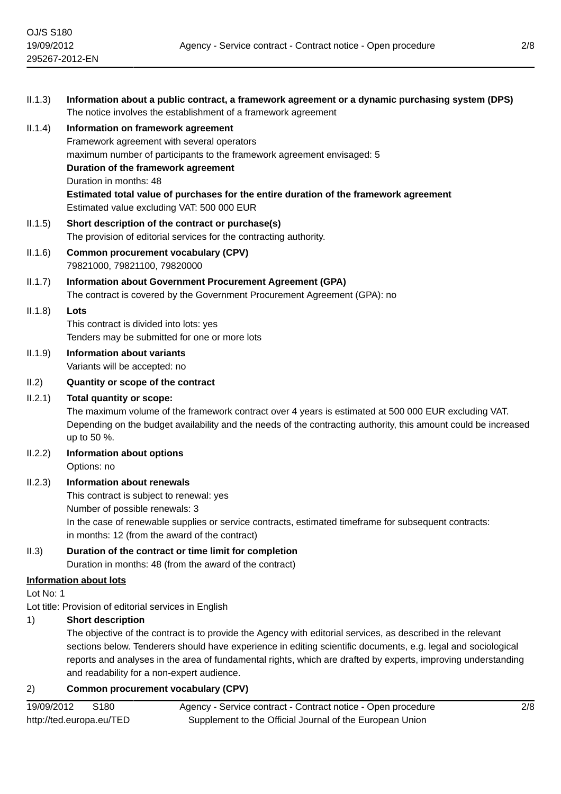| II.1.3)   | Information about a public contract, a framework agreement or a dynamic purchasing system (DPS)<br>The notice involves the establishment of a framework agreement                                                                      |
|-----------|----------------------------------------------------------------------------------------------------------------------------------------------------------------------------------------------------------------------------------------|
| II.1.4)   | Information on framework agreement                                                                                                                                                                                                     |
|           | Framework agreement with several operators                                                                                                                                                                                             |
|           | maximum number of participants to the framework agreement envisaged: 5                                                                                                                                                                 |
|           | Duration of the framework agreement                                                                                                                                                                                                    |
|           | Duration in months: 48                                                                                                                                                                                                                 |
|           | Estimated total value of purchases for the entire duration of the framework agreement<br>Estimated value excluding VAT: 500 000 EUR                                                                                                    |
| II.1.5)   | Short description of the contract or purchase(s)                                                                                                                                                                                       |
|           | The provision of editorial services for the contracting authority.                                                                                                                                                                     |
| II.1.6)   | <b>Common procurement vocabulary (CPV)</b><br>79821000, 79821100, 79820000                                                                                                                                                             |
| II.1.7)   | Information about Government Procurement Agreement (GPA)                                                                                                                                                                               |
|           | The contract is covered by the Government Procurement Agreement (GPA): no                                                                                                                                                              |
| II.1.8)   | Lots                                                                                                                                                                                                                                   |
|           | This contract is divided into lots: yes                                                                                                                                                                                                |
|           | Tenders may be submitted for one or more lots                                                                                                                                                                                          |
| II.1.9)   | <b>Information about variants</b><br>Variants will be accepted: no                                                                                                                                                                     |
| II.2)     | Quantity or scope of the contract                                                                                                                                                                                                      |
| II.2.1)   | <b>Total quantity or scope:</b>                                                                                                                                                                                                        |
|           | The maximum volume of the framework contract over 4 years is estimated at 500 000 EUR excluding VAT.<br>Depending on the budget availability and the needs of the contracting authority, this amount could be increased<br>up to 50 %. |
| II.2.2)   | <b>Information about options</b>                                                                                                                                                                                                       |
|           | Options: no                                                                                                                                                                                                                            |
| II.2.3)   | <b>Information about renewals</b>                                                                                                                                                                                                      |
|           | This contract is subject to renewal: yes                                                                                                                                                                                               |
|           | Number of possible renewals: 3                                                                                                                                                                                                         |
|           | In the case of renewable supplies or service contracts, estimated timeframe for subsequent contracts:                                                                                                                                  |
|           | in months: 12 (from the award of the contract)                                                                                                                                                                                         |
| II.3)     | Duration of the contract or time limit for completion                                                                                                                                                                                  |
|           | Duration in months: 48 (from the award of the contract)                                                                                                                                                                                |
|           | <b>Information about lots</b>                                                                                                                                                                                                          |
| Lot No: 1 |                                                                                                                                                                                                                                        |
| 1)        | Lot title: Provision of editorial services in English<br><b>Short description</b>                                                                                                                                                      |
|           | The objective of the contract is to provide the Agency with editorial services, as described in the relevant                                                                                                                           |
|           | sections below. Tenderers should have experience in editing scientific documents, e.g. legal and sociological                                                                                                                          |
|           | reports and analyses in the area of fundamental rights which are drafted by experts improving understanding                                                                                                                            |

reports and analyses in the area of fundamental rights, which are drafted by experts, improving understanding and readability for a non-expert audience.

# 2) **Common procurement vocabulary (CPV)**

| 19/09/2012               | S180 | Agency - Service contract - Contract notice - Open procedure |
|--------------------------|------|--------------------------------------------------------------|
| http://ted.europa.eu/TED |      | Supplement to the Official Journal of the European Union     |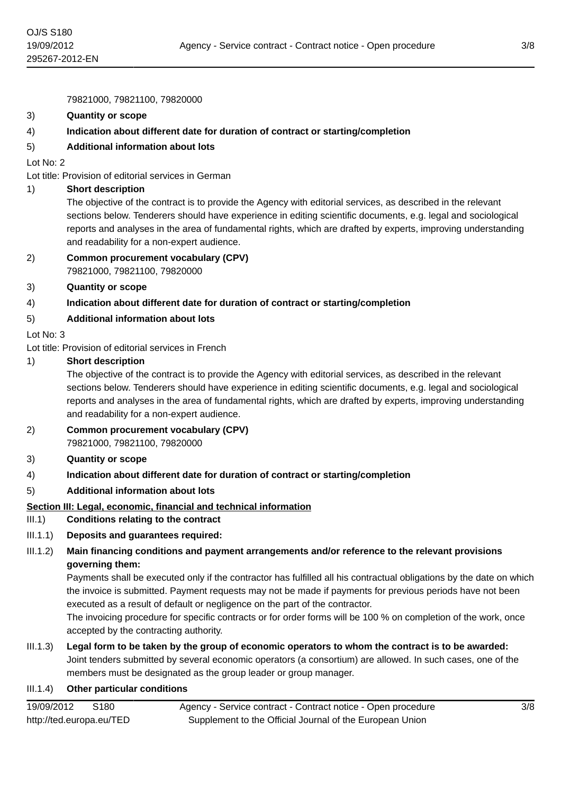79821000, 79821100, 79820000

#### 3) **Quantity or scope**

## 4) **Indication about different date for duration of contract or starting/completion**

## 5) **Additional information about lots**

Lot No: 2

Lot title: Provision of editorial services in German

#### 1) **Short description**

The objective of the contract is to provide the Agency with editorial services, as described in the relevant sections below. Tenderers should have experience in editing scientific documents, e.g. legal and sociological reports and analyses in the area of fundamental rights, which are drafted by experts, improving understanding and readability for a non-expert audience.

## 2) **Common procurement vocabulary (CPV)** 79821000, 79821100, 79820000

3) **Quantity or scope**

## 4) **Indication about different date for duration of contract or starting/completion**

## 5) **Additional information about lots**

Lot No: 3

Lot title: Provision of editorial services in French

#### 1) **Short description**

The objective of the contract is to provide the Agency with editorial services, as described in the relevant sections below. Tenderers should have experience in editing scientific documents, e.g. legal and sociological reports and analyses in the area of fundamental rights, which are drafted by experts, improving understanding and readability for a non-expert audience.

## 2) **Common procurement vocabulary (CPV)** 79821000, 79821100, 79820000

- 3) **Quantity or scope**
- 4) **Indication about different date for duration of contract or starting/completion**

## 5) **Additional information about lots**

#### **Section III: Legal, economic, financial and technical information**

#### III.1) **Conditions relating to the contract**

## III.1.1) **Deposits and guarantees required:**

# III.1.2) **Main financing conditions and payment arrangements and/or reference to the relevant provisions governing them:**

Payments shall be executed only if the contractor has fulfilled all his contractual obligations by the date on which the invoice is submitted. Payment requests may not be made if payments for previous periods have not been executed as a result of default or negligence on the part of the contractor.

The invoicing procedure for specific contracts or for order forms will be 100 % on completion of the work, once accepted by the contracting authority.

III.1.3) **Legal form to be taken by the group of economic operators to whom the contract is to be awarded:** Joint tenders submitted by several economic operators (a consortium) are allowed. In such cases, one of the members must be designated as the group leader or group manager.

#### III.1.4) **Other particular conditions**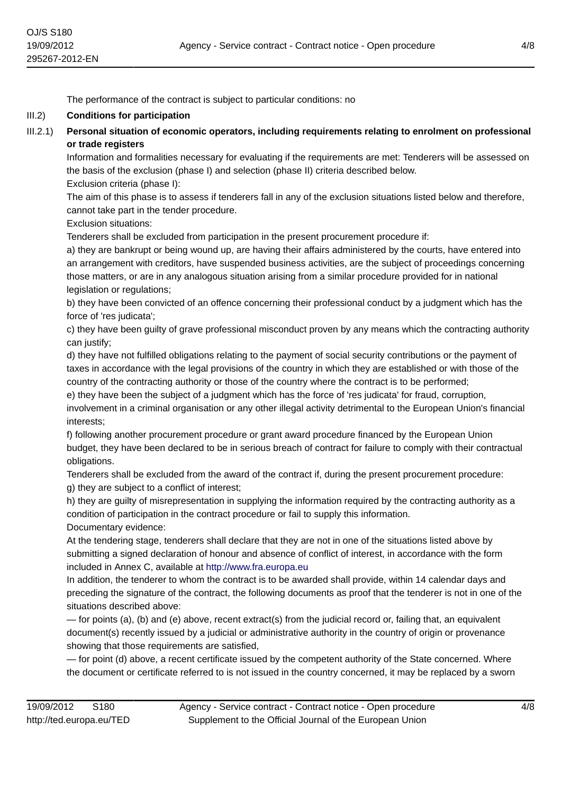The performance of the contract is subject to particular conditions: no

## III.2) **Conditions for participation**

III.2.1) **Personal situation of economic operators, including requirements relating to enrolment on professional or trade registers**

Information and formalities necessary for evaluating if the requirements are met: Tenderers will be assessed on the basis of the exclusion (phase I) and selection (phase II) criteria described below. Exclusion criteria (phase I):

The aim of this phase is to assess if tenderers fall in any of the exclusion situations listed below and therefore, cannot take part in the tender procedure.

Exclusion situations:

Tenderers shall be excluded from participation in the present procurement procedure if:

a) they are bankrupt or being wound up, are having their affairs administered by the courts, have entered into an arrangement with creditors, have suspended business activities, are the subject of proceedings concerning those matters, or are in any analogous situation arising from a similar procedure provided for in national legislation or regulations;

b) they have been convicted of an offence concerning their professional conduct by a judgment which has the force of 'res judicata';

c) they have been guilty of grave professional misconduct proven by any means which the contracting authority can justify;

d) they have not fulfilled obligations relating to the payment of social security contributions or the payment of taxes in accordance with the legal provisions of the country in which they are established or with those of the country of the contracting authority or those of the country where the contract is to be performed;

e) they have been the subject of a judgment which has the force of 'res judicata' for fraud, corruption, involvement in a criminal organisation or any other illegal activity detrimental to the European Union's financial interests;

f) following another procurement procedure or grant award procedure financed by the European Union budget, they have been declared to be in serious breach of contract for failure to comply with their contractual obligations.

Tenderers shall be excluded from the award of the contract if, during the present procurement procedure: g) they are subject to a conflict of interest;

h) they are guilty of misrepresentation in supplying the information required by the contracting authority as a condition of participation in the contract procedure or fail to supply this information. Documentary evidence:

At the tendering stage, tenderers shall declare that they are not in one of the situations listed above by submitting a signed declaration of honour and absence of conflict of interest, in accordance with the form included in Annex C, available at <http://www.fra.europa.eu>

In addition, the tenderer to whom the contract is to be awarded shall provide, within 14 calendar days and preceding the signature of the contract, the following documents as proof that the tenderer is not in one of the situations described above:

— for points (a), (b) and (e) above, recent extract(s) from the judicial record or, failing that, an equivalent document(s) recently issued by a judicial or administrative authority in the country of origin or provenance showing that those requirements are satisfied,

— for point (d) above, a recent certificate issued by the competent authority of the State concerned. Where the document or certificate referred to is not issued in the country concerned, it may be replaced by a sworn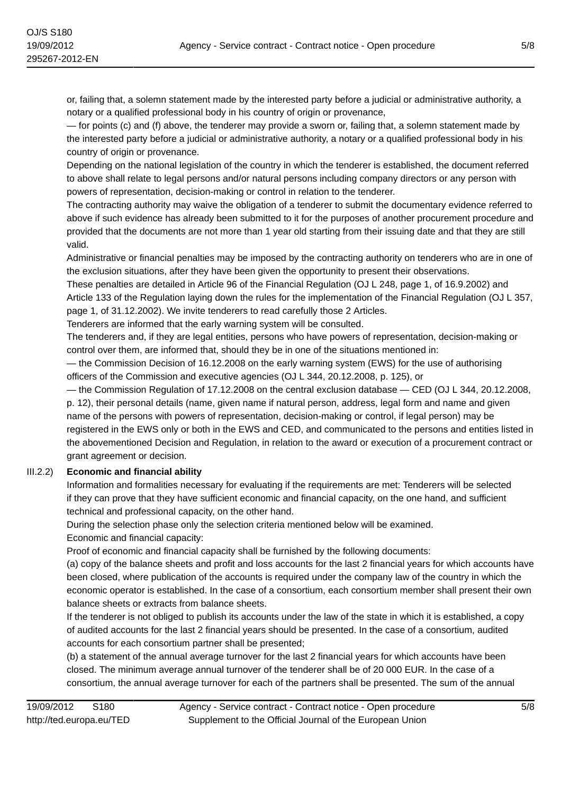or, failing that, a solemn statement made by the interested party before a judicial or administrative authority, a notary or a qualified professional body in his country of origin or provenance,

— for points (c) and (f) above, the tenderer may provide a sworn or, failing that, a solemn statement made by the interested party before a judicial or administrative authority, a notary or a qualified professional body in his country of origin or provenance.

Depending on the national legislation of the country in which the tenderer is established, the document referred to above shall relate to legal persons and/or natural persons including company directors or any person with powers of representation, decision-making or control in relation to the tenderer.

The contracting authority may waive the obligation of a tenderer to submit the documentary evidence referred to above if such evidence has already been submitted to it for the purposes of another procurement procedure and provided that the documents are not more than 1 year old starting from their issuing date and that they are still valid.

Administrative or financial penalties may be imposed by the contracting authority on tenderers who are in one of the exclusion situations, after they have been given the opportunity to present their observations.

These penalties are detailed in Article 96 of the Financial Regulation (OJ L 248, page 1, of 16.9.2002) and Article 133 of the Regulation laying down the rules for the implementation of the Financial Regulation (OJ L 357, page 1, of 31.12.2002). We invite tenderers to read carefully those 2 Articles.

Tenderers are informed that the early warning system will be consulted.

The tenderers and, if they are legal entities, persons who have powers of representation, decision-making or control over them, are informed that, should they be in one of the situations mentioned in:

— the Commission Decision of 16.12.2008 on the early warning system (EWS) for the use of authorising officers of the Commission and executive agencies (OJ L 344, 20.12.2008, p. 125), or

— the Commission Regulation of 17.12.2008 on the central exclusion database — CED (OJ L 344, 20.12.2008, p. 12), their personal details (name, given name if natural person, address, legal form and name and given name of the persons with powers of representation, decision-making or control, if legal person) may be registered in the EWS only or both in the EWS and CED, and communicated to the persons and entities listed in the abovementioned Decision and Regulation, in relation to the award or execution of a procurement contract or grant agreement or decision.

# III.2.2) **Economic and financial ability**

Information and formalities necessary for evaluating if the requirements are met: Tenderers will be selected if they can prove that they have sufficient economic and financial capacity, on the one hand, and sufficient technical and professional capacity, on the other hand.

During the selection phase only the selection criteria mentioned below will be examined. Economic and financial capacity:

Proof of economic and financial capacity shall be furnished by the following documents:

(a) copy of the balance sheets and profit and loss accounts for the last 2 financial years for which accounts have been closed, where publication of the accounts is required under the company law of the country in which the economic operator is established. In the case of a consortium, each consortium member shall present their own balance sheets or extracts from balance sheets.

If the tenderer is not obliged to publish its accounts under the law of the state in which it is established, a copy of audited accounts for the last 2 financial years should be presented. In the case of a consortium, audited accounts for each consortium partner shall be presented;

(b) a statement of the annual average turnover for the last 2 financial years for which accounts have been closed. The minimum average annual turnover of the tenderer shall be of 20 000 EUR. In the case of a consortium, the annual average turnover for each of the partners shall be presented. The sum of the annual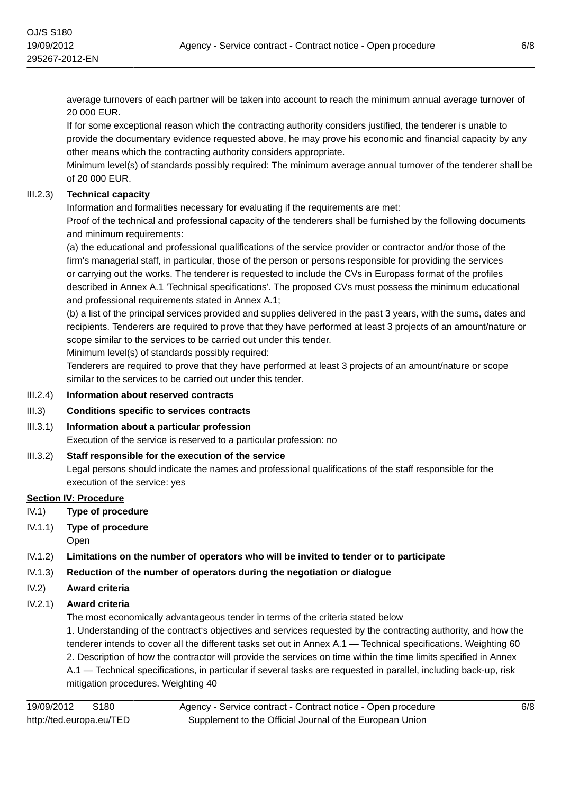average turnovers of each partner will be taken into account to reach the minimum annual average turnover of 20 000 EUR.

If for some exceptional reason which the contracting authority considers justified, the tenderer is unable to provide the documentary evidence requested above, he may prove his economic and financial capacity by any other means which the contracting authority considers appropriate.

Minimum level(s) of standards possibly required: The minimum average annual turnover of the tenderer shall be of 20 000 EUR.

# III.2.3) **Technical capacity**

Information and formalities necessary for evaluating if the requirements are met:

Proof of the technical and professional capacity of the tenderers shall be furnished by the following documents and minimum requirements:

(a) the educational and professional qualifications of the service provider or contractor and/or those of the firm's managerial staff, in particular, those of the person or persons responsible for providing the services or carrying out the works. The tenderer is requested to include the CVs in Europass format of the profiles described in Annex A.1 'Technical specifications'. The proposed CVs must possess the minimum educational and professional requirements stated in Annex A.1;

(b) a list of the principal services provided and supplies delivered in the past 3 years, with the sums, dates and recipients. Tenderers are required to prove that they have performed at least 3 projects of an amount/nature or scope similar to the services to be carried out under this tender.

Minimum level(s) of standards possibly required:

Tenderers are required to prove that they have performed at least 3 projects of an amount/nature or scope similar to the services to be carried out under this tender.

- III.2.4) **Information about reserved contracts**
- III.3) **Conditions specific to services contracts**
- III.3.1) **Information about a particular profession**

Execution of the service is reserved to a particular profession: no

## III.3.2) **Staff responsible for the execution of the service**

Legal persons should indicate the names and professional qualifications of the staff responsible for the execution of the service: yes

## **Section IV: Procedure**

- IV.1) **Type of procedure**
- IV.1.1) **Type of procedure**

Open

- IV.1.2) **Limitations on the number of operators who will be invited to tender or to participate**
- IV.1.3) **Reduction of the number of operators during the negotiation or dialogue**
- IV.2) **Award criteria**

IV.2.1) **Award criteria**

The most economically advantageous tender in terms of the criteria stated below

1. Understanding of the contract's objectives and services requested by the contracting authority, and how the tenderer intends to cover all the different tasks set out in Annex A.1 — Technical specifications. Weighting 60 2. Description of how the contractor will provide the services on time within the time limits specified in Annex A.1 — Technical specifications, in particular if several tasks are requested in parallel, including back-up, risk mitigation procedures. Weighting 40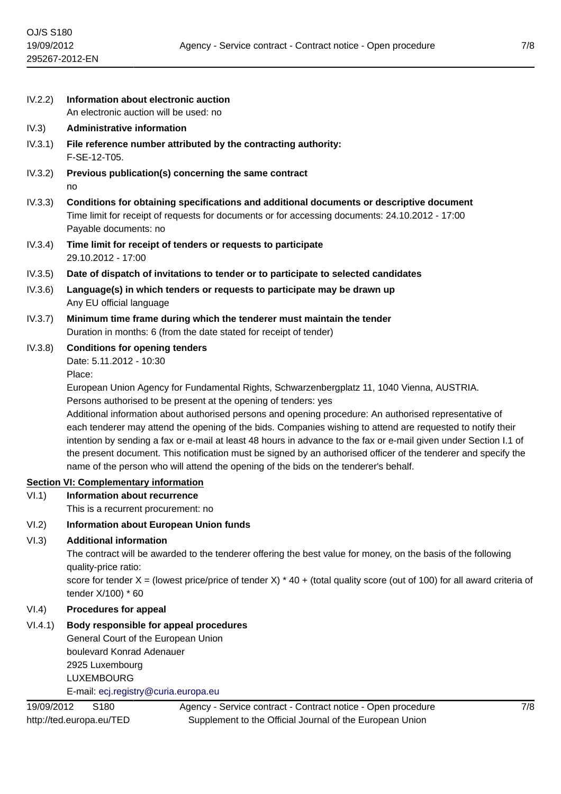|  |  |  | IV.2.2) Information about electronic auction |
|--|--|--|----------------------------------------------|
|  |  |  |                                              |

An electronic auction will be used: no

- IV.3) **Administrative information**
- IV.3.1) **File reference number attributed by the contracting authority:** F-SE-12-T05.
- IV.3.2) **Previous publication(s) concerning the same contract** no
- IV.3.3) **Conditions for obtaining specifications and additional documents or descriptive document** Time limit for receipt of requests for documents or for accessing documents: 24.10.2012 - 17:00 Payable documents: no
- IV.3.4) **Time limit for receipt of tenders or requests to participate** 29.10.2012 - 17:00
- IV.3.5) **Date of dispatch of invitations to tender or to participate to selected candidates**
- IV.3.6) **Language(s) in which tenders or requests to participate may be drawn up** Any EU official language
- IV.3.7) **Minimum time frame during which the tenderer must maintain the tender** Duration in months: 6 (from the date stated for receipt of tender)
- IV.3.8) **Conditions for opening tenders**

Date: 5.11.2012 - 10:30

Place:

European Union Agency for Fundamental Rights, Schwarzenbergplatz 11, 1040 Vienna, AUSTRIA. Persons authorised to be present at the opening of tenders: yes

Additional information about authorised persons and opening procedure: An authorised representative of each tenderer may attend the opening of the bids. Companies wishing to attend are requested to notify their intention by sending a fax or e-mail at least 48 hours in advance to the fax or e-mail given under Section I.1 of the present document. This notification must be signed by an authorised officer of the tenderer and specify the name of the person who will attend the opening of the bids on the tenderer's behalf.

# **Section VI: Complementary information**

VI.1) **Information about recurrence**

This is a recurrent procurement: no

# VI.2) **Information about European Union funds**

# VI.3) **Additional information**

The contract will be awarded to the tenderer offering the best value for money, on the basis of the following quality-price ratio:

score for tender  $X =$  (lowest price/price of tender X)  $*$  40 + (total quality score (out of 100) for all award criteria of tender X/100) \* 60

# VI.4) **Procedures for appeal**

# VI.4.1) **Body responsible for appeal procedures**

General Court of the European Union boulevard Konrad Adenauer 2925 Luxembourg LUXEMBOURG E-mail: [ecj.registry@curia.europa.eu](mailto:ecj.registry@curia.europa.eu)

Agency - Service contract - Contract notice - Open procedure Supplement to the Official Journal of the European Union